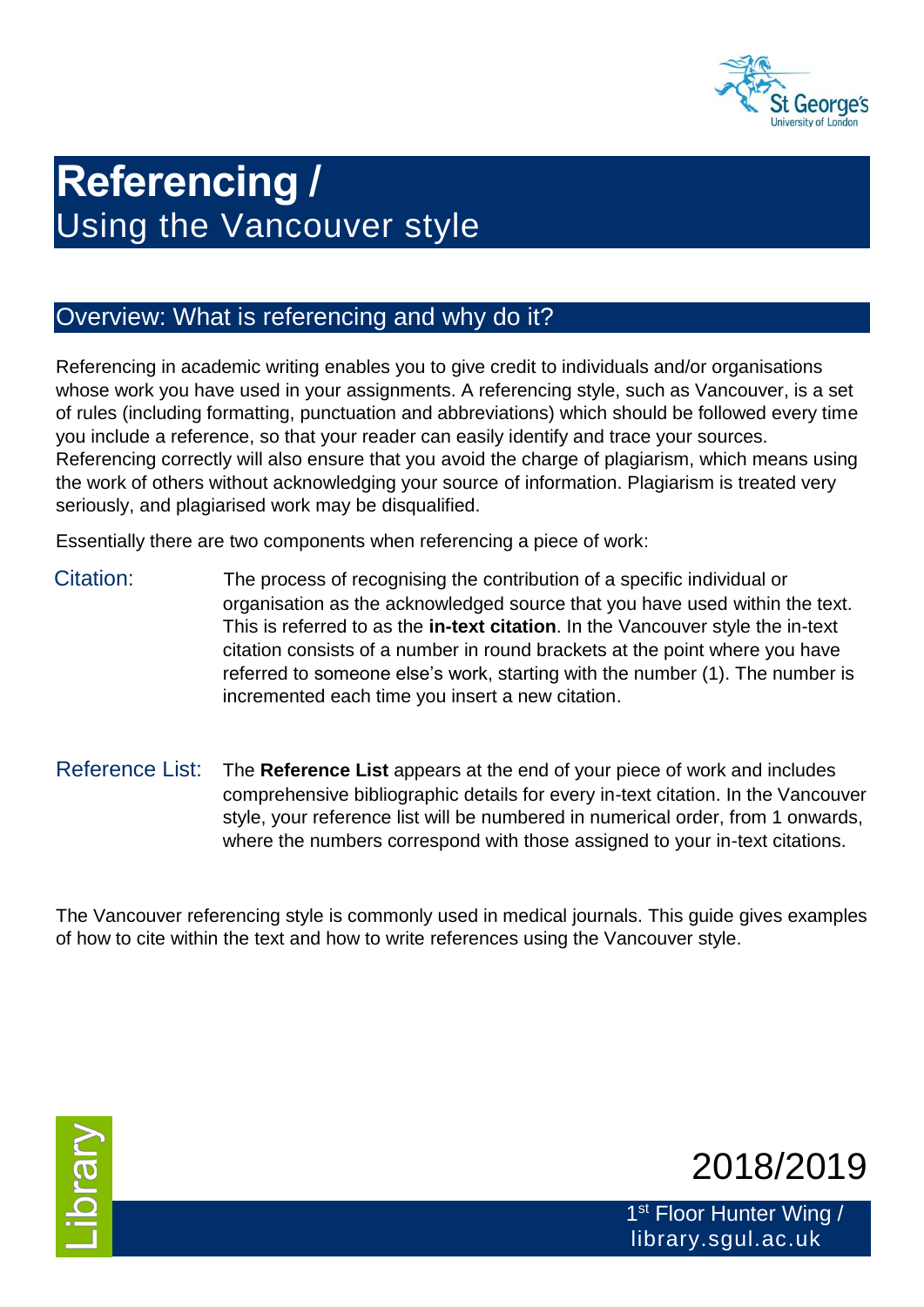

# **Referencing /**  Using the Vancouver style

## Overview: What is referencing and why do it?

Referencing in academic writing enables you to give credit to individuals and/or organisations whose work you have used in your assignments. A referencing style, such as Vancouver, is a set of rules (including formatting, punctuation and abbreviations) which should be followed every time you include a reference, so that your reader can easily identify and trace your sources. Referencing correctly will also ensure that you avoid the charge of plagiarism, which means using the work of others without acknowledging your source of information. Plagiarism is treated very seriously, and plagiarised work may be disqualified.

Essentially there are two components when referencing a piece of work:

- Citation: The process of recognising the contribution of a specific individual or organisation as the acknowledged source that you have used within the text. This is referred to as the **in-text citation**. In the Vancouver style the in-text citation consists of a number in round brackets at the point where you have referred to someone else's work, starting with the number (1). The number is incremented each time you insert a new citation.
- Reference List: The **Reference List** appears at the end of your piece of work and includes comprehensive bibliographic details for every in-text citation. In the Vancouver style, your reference list will be numbered in numerical order, from 1 onwards, where the numbers correspond with those assigned to your in-text citations.

The Vancouver referencing style is commonly used in medical journals. This guide gives examples of how to cite within the text and how to write references using the Vancouver style.





1<sup>st</sup> Floor Hunter Wing / library.sgul.ac.uk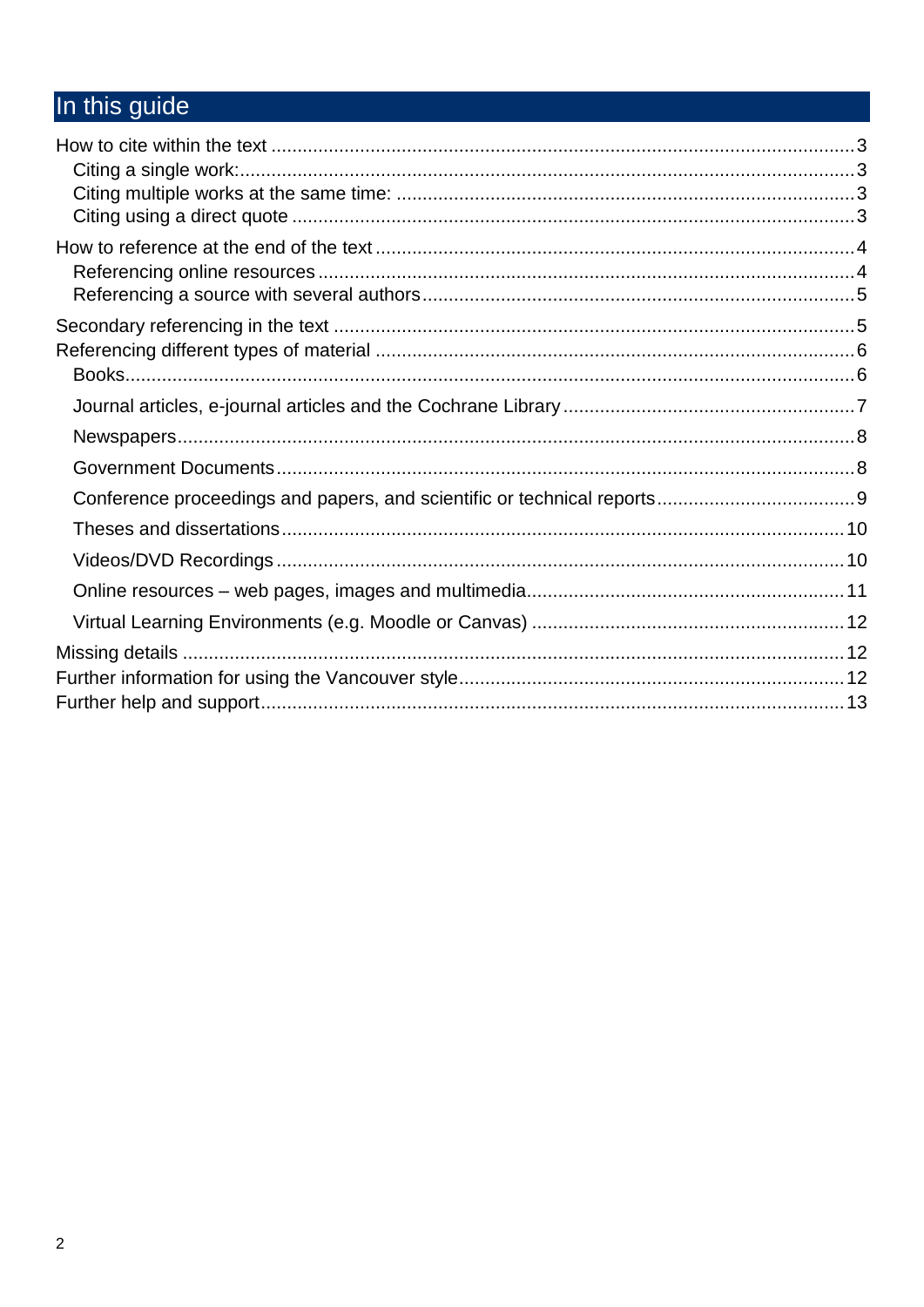# In this guide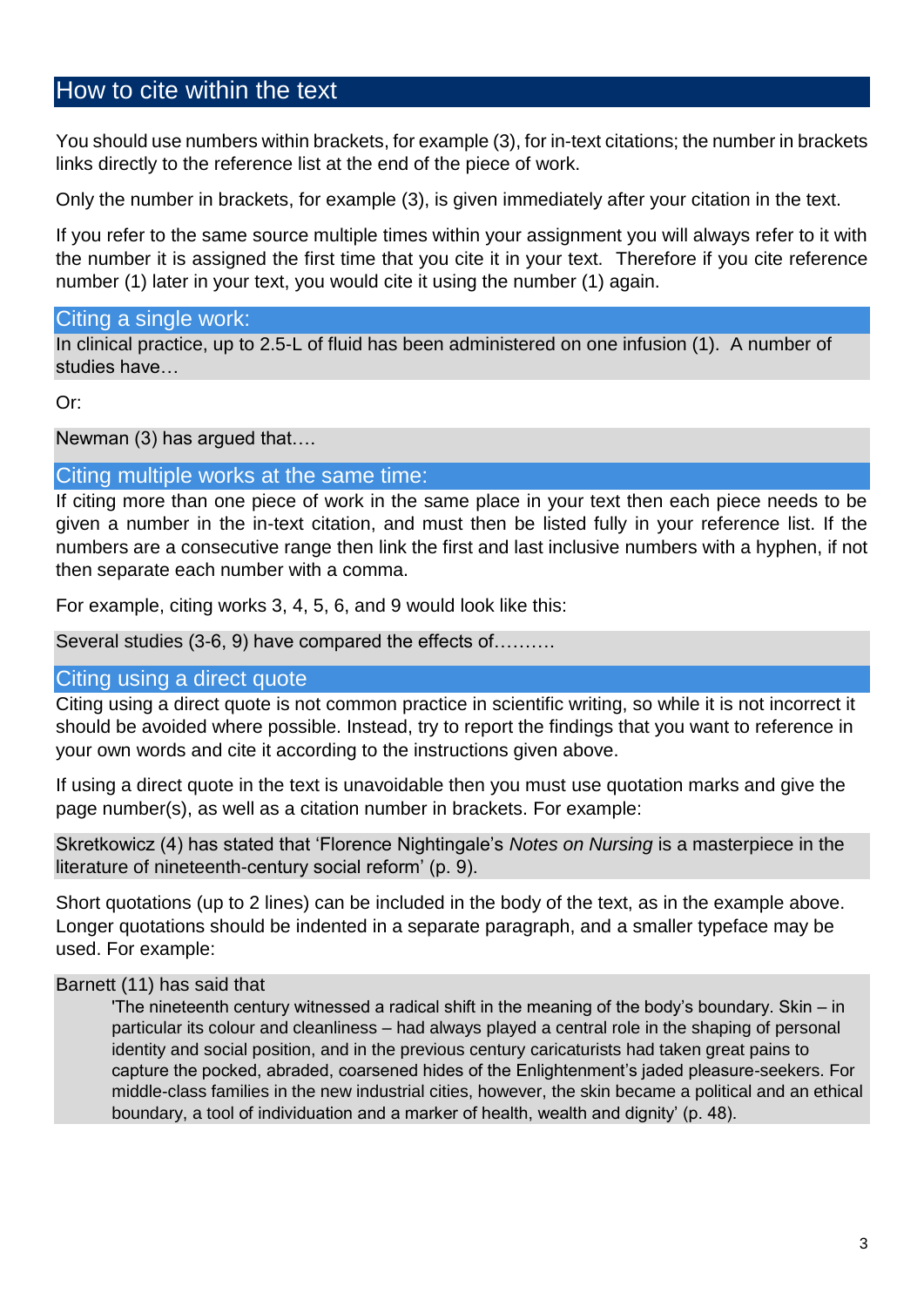## How to cite within the text

You should use numbers within brackets, for example (3), for in-text citations; the number in brackets links directly to the reference list at the end of the piece of work.

Only the number in brackets, for example (3), is given immediately after your citation in the text.

If you refer to the same source multiple times within your assignment you will always refer to it with the number it is assigned the first time that you cite it in your text. Therefore if you cite reference number (1) later in your text, you would cite it using the number (1) again.

#### Citing a single work:

In clinical practice, up to 2.5-L of fluid has been administered on one infusion (1). A number of studies have

#### Or:

Newman (3) has argued that….

#### Citing multiple works at the same time:

If citing more than one piece of work in the same place in your text then each piece needs to be given a number in the in-text citation, and must then be listed fully in your reference list. If the numbers are a consecutive range then link the first and last inclusive numbers with a hyphen, if not then separate each number with a comma.

For example, citing works 3, 4, 5, 6, and 9 would look like this:

Several studies (3-6, 9) have compared the effects of.........

#### Citing using a direct quote

Citing using a direct quote is not common practice in scientific writing, so while it is not incorrect it should be avoided where possible. Instead, try to report the findings that you want to reference in your own words and cite it according to the instructions given above.

If using a direct quote in the text is unavoidable then you must use quotation marks and give the page number(s), as well as a citation number in brackets. For example:

Skretkowicz (4) has stated that 'Florence Nightingale's *Notes on Nursing* is a masterpiece in the literature of nineteenth-century social reform' (p. 9).

Short quotations (up to 2 lines) can be included in the body of the text, as in the example above. Longer quotations should be indented in a separate paragraph, and a smaller typeface may be used. For example:

#### Barnett (11) has said that

'The nineteenth century witnessed a radical shift in the meaning of the body's boundary. Skin – in particular its colour and cleanliness – had always played a central role in the shaping of personal identity and social position, and in the previous century caricaturists had taken great pains to capture the pocked, abraded, coarsened hides of the Enlightenment's jaded pleasure-seekers. For middle-class families in the new industrial cities, however, the skin became a political and an ethical boundary, a tool of individuation and a marker of health, wealth and dignity' (p. 48).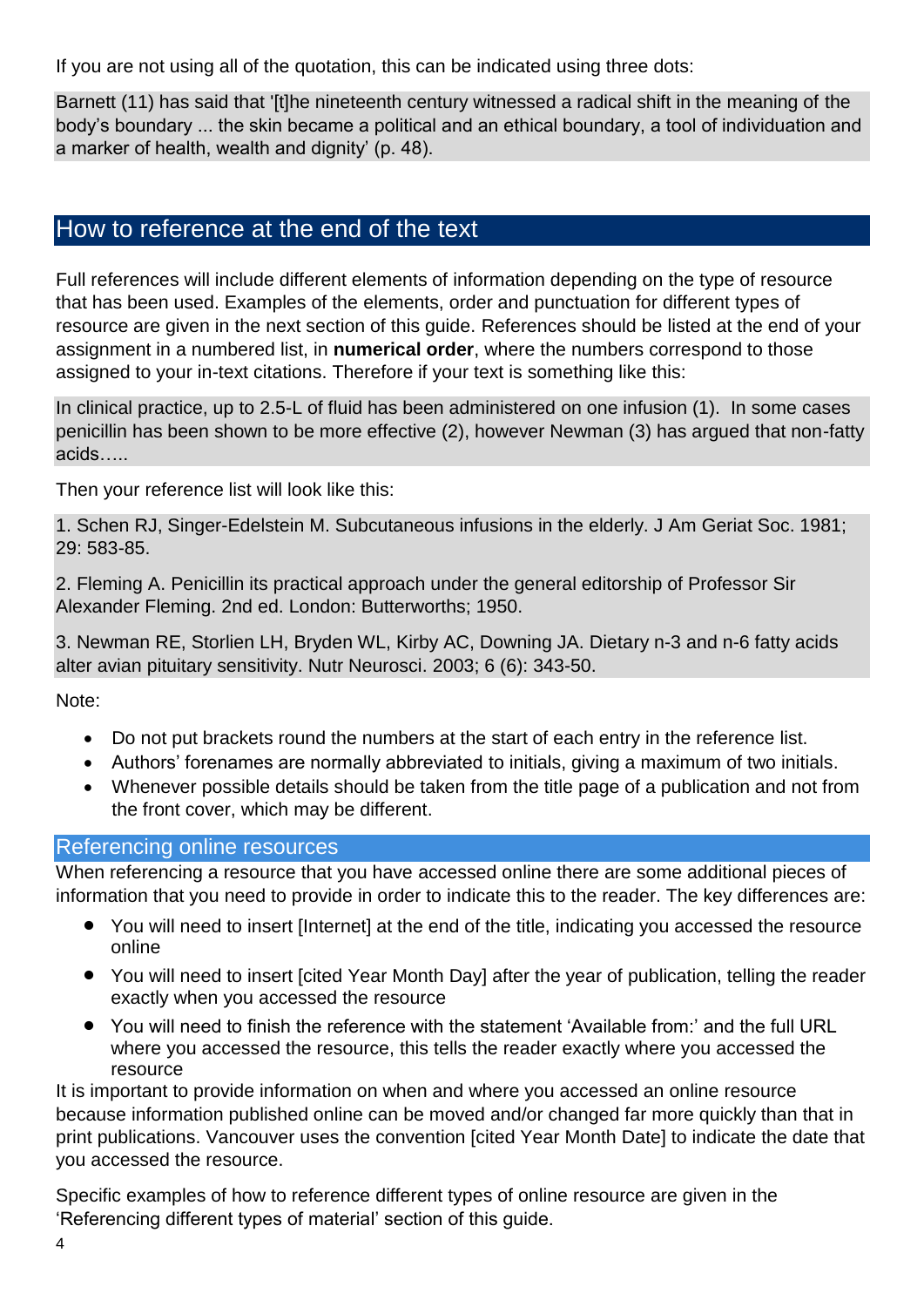If you are not using all of the quotation, this can be indicated using three dots:

Barnett (11) has said that '[t]he nineteenth century witnessed a radical shift in the meaning of the body's boundary ... the skin became a political and an ethical boundary, a tool of individuation and a marker of health, wealth and dignity' (p. 48).

## How to reference at the end of the text

Full references will include different elements of information depending on the type of resource that has been used. Examples of the elements, order and punctuation for different types of resource are given in the next section of this guide. References should be listed at the end of your assignment in a numbered list, in **numerical order**, where the numbers correspond to those assigned to your in-text citations. Therefore if your text is something like this:

In clinical practice, up to 2.5-L of fluid has been administered on one infusion (1). In some cases penicillin has been shown to be more effective (2), however Newman (3) has argued that non-fatty acids…..

Then your reference list will look like this:

1. Schen RJ, Singer-Edelstein M. Subcutaneous infusions in the elderly. J Am Geriat Soc. 1981; 29: 583-85.

2. Fleming A. Penicillin its practical approach under the general editorship of Professor Sir Alexander Fleming. 2nd ed. London: Butterworths; 1950.

3. Newman RE, Storlien LH, Bryden WL, Kirby AC, Downing JA. Dietary n-3 and n-6 fatty acids alter avian pituitary sensitivity. Nutr Neurosci. 2003; 6 (6): 343-50.

Note:

- Do not put brackets round the numbers at the start of each entry in the reference list.
- Authors' forenames are normally abbreviated to initials, giving a maximum of two initials.
- Whenever possible details should be taken from the title page of a publication and not from the front cover, which may be different.

#### Referencing online resources

When referencing a resource that you have accessed online there are some additional pieces of information that you need to provide in order to indicate this to the reader. The key differences are:

- You will need to insert [Internet] at the end of the title, indicating you accessed the resource online
- You will need to insert [cited Year Month Day] after the year of publication, telling the reader exactly when you accessed the resource
- You will need to finish the reference with the statement 'Available from:' and the full URL where you accessed the resource, this tells the reader exactly where you accessed the resource

It is important to provide information on when and where you accessed an online resource because information published online can be moved and/or changed far more quickly than that in print publications. Vancouver uses the convention [cited Year Month Date] to indicate the date that you accessed the resource.

Specific examples of how to reference different types of online resource are given in the 'Referencing different types of material' section of this guide.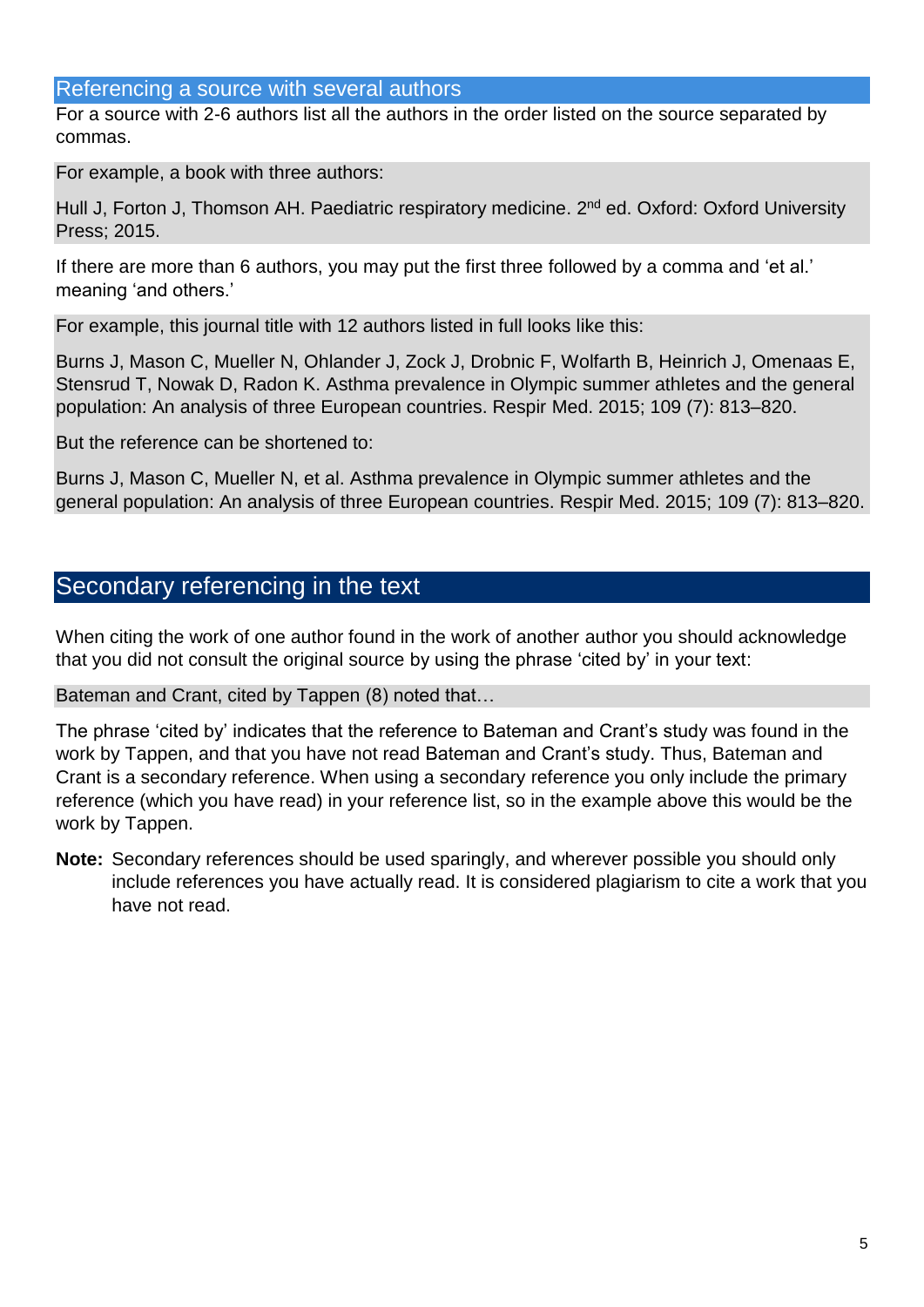## Referencing a source with several authors

For a source with 2-6 authors list all the authors in the order listed on the source separated by commas.

For example, a book with three authors:

Hull J, Forton J, Thomson AH. Paediatric respiratory medicine. 2<sup>nd</sup> ed. Oxford: Oxford University Press; 2015.

If there are more than 6 authors, you may put the first three followed by a comma and 'et al.' meaning 'and others.'

For example, this journal title with 12 authors listed in full looks like this:

Burns J, Mason C, Mueller N, Ohlander J, Zock J, Drobnic F, Wolfarth B, Heinrich J, Omenaas E, Stensrud T, Nowak D, Radon K. Asthma prevalence in Olympic summer athletes and the general population: An analysis of three European countries. Respir Med. 2015; 109 (7): 813–820.

But the reference can be shortened to:

Burns J, Mason C, Mueller N, et al. Asthma prevalence in Olympic summer athletes and the general population: An analysis of three European countries. Respir Med. 2015; 109 (7): 813–820.

## Secondary referencing in the text

When citing the work of one author found in the work of another author you should acknowledge that you did not consult the original source by using the phrase 'cited by' in your text:

Bateman and Crant, cited by Tappen (8) noted that…

The phrase 'cited by' indicates that the reference to Bateman and Crant's study was found in the work by Tappen, and that you have not read Bateman and Crant's study. Thus, Bateman and Crant is a secondary reference. When using a secondary reference you only include the primary reference (which you have read) in your reference list, so in the example above this would be the work by Tappen.

**Note:** Secondary references should be used sparingly, and wherever possible you should only include references you have actually read. It is considered plagiarism to cite a work that you have not read.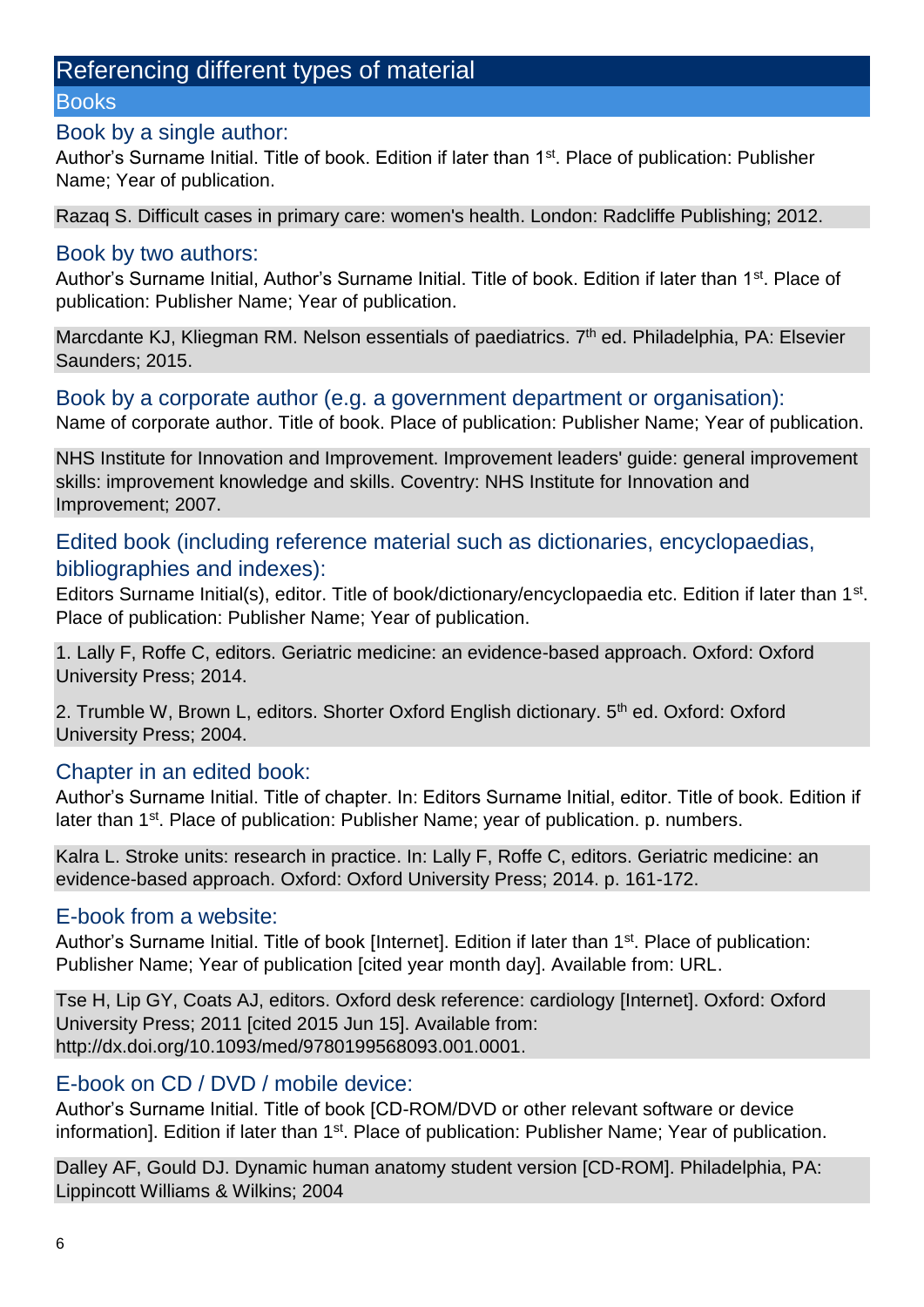## Referencing different types of material

#### **Books**

#### Book by a single author:

Author's Surname Initial. Title of book. Edition if later than 1<sup>st</sup>. Place of publication: Publisher Name; Year of publication.

Razaq S. Difficult cases in primary care: women's health. London: Radcliffe Publishing; 2012.

#### Book by two authors:

Author's Surname Initial, Author's Surname Initial. Title of book. Edition if later than 1<sup>st</sup>. Place of publication: Publisher Name; Year of publication.

Marcdante KJ, Kliegman RM. Nelson essentials of paediatrics. 7<sup>th</sup> ed. Philadelphia, PA: Elsevier Saunders; 2015.

#### Book by a corporate author (e.g. a government department or organisation):

Name of corporate author. Title of book. Place of publication: Publisher Name; Year of publication.

NHS Institute for Innovation and Improvement. Improvement leaders' guide: general improvement skills: improvement knowledge and skills. Coventry: NHS Institute for Innovation and Improvement; 2007.

### Edited book (including reference material such as dictionaries, encyclopaedias, bibliographies and indexes):

Editors Surname Initial(s), editor. Title of book/dictionary/encyclopaedia etc. Edition if later than 1<sup>st</sup>. Place of publication: Publisher Name; Year of publication.

1. Lally F, Roffe C, editors. Geriatric medicine: an evidence-based approach. Oxford: Oxford University Press; 2014.

2. Trumble W, Brown L, editors. Shorter Oxford English dictionary. 5<sup>th</sup> ed. Oxford: Oxford University Press; 2004.

## Chapter in an edited book:

Author's Surname Initial. Title of chapter. In: Editors Surname Initial, editor. Title of book. Edition if later than 1<sup>st</sup>. Place of publication: Publisher Name; year of publication. p. numbers.

Kalra L. Stroke units: research in practice. In: Lally F, Roffe C, editors. Geriatric medicine: an evidence-based approach. Oxford: Oxford University Press; 2014. p. 161-172.

## E-book from a website:

Author's Surname Initial. Title of book [Internet]. Edition if later than 1<sup>st</sup>. Place of publication: Publisher Name; Year of publication [cited year month day]. Available from: URL.

Tse H, Lip GY, Coats AJ, editors. Oxford desk reference: cardiology [Internet]. Oxford: Oxford University Press; 2011 [cited 2015 Jun 15]. Available from: http://dx.doi.org/10.1093/med/9780199568093.001.0001.

## E-book on CD / DVD / mobile device:

Author's Surname Initial. Title of book [CD-ROM/DVD or other relevant software or device information]. Edition if later than 1<sup>st</sup>. Place of publication: Publisher Name; Year of publication.

Dalley AF, Gould DJ. Dynamic human anatomy student version [CD-ROM]. Philadelphia, PA: Lippincott Williams & Wilkins; 2004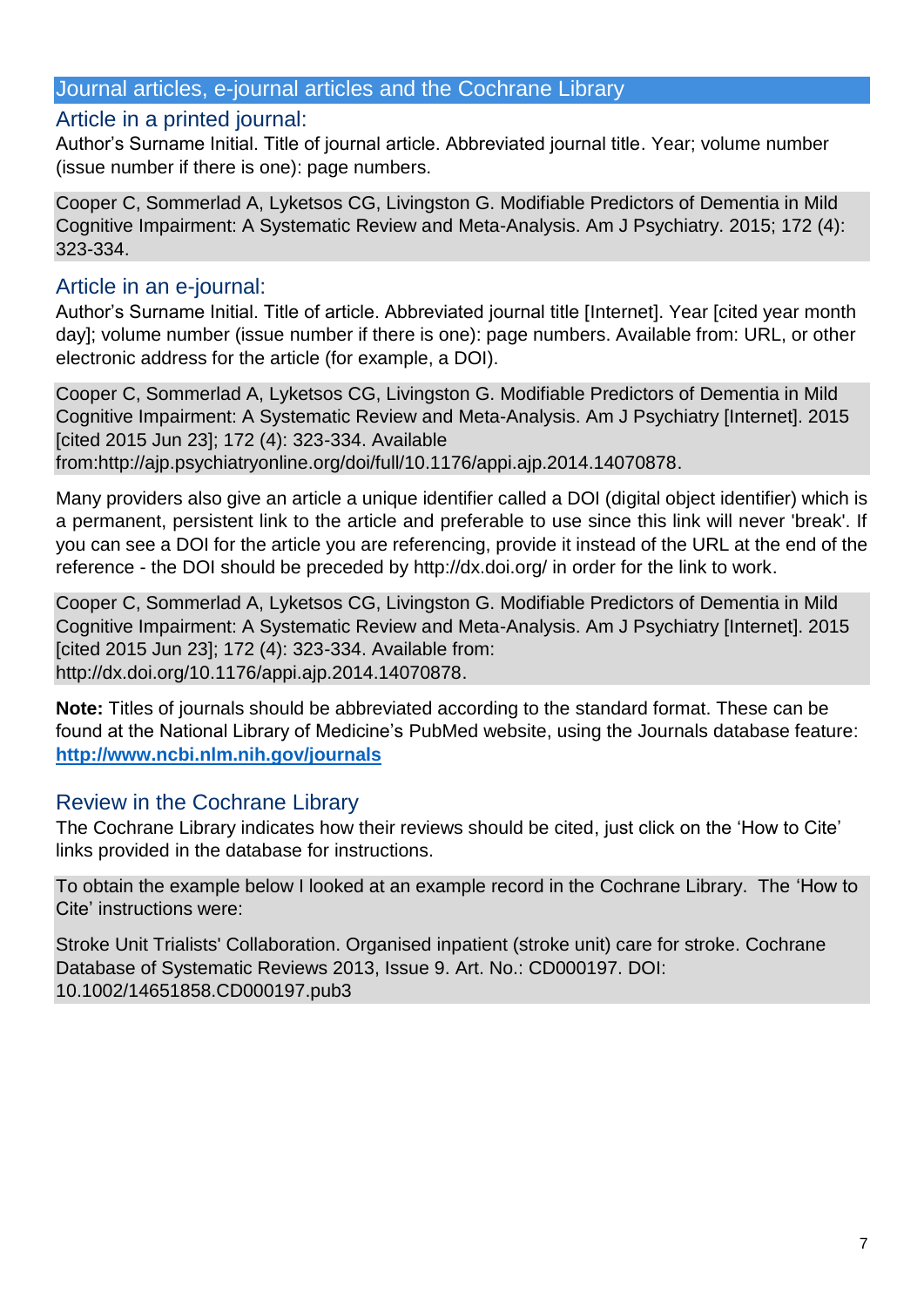#### Journal articles, e-journal articles and the Cochrane Library

#### Article in a printed journal:

Author's Surname Initial. Title of journal article. Abbreviated journal title. Year; volume number (issue number if there is one): page numbers.

Cooper C, Sommerlad A, Lyketsos CG, Livingston G. Modifiable Predictors of Dementia in Mild Cognitive Impairment: A Systematic Review and Meta-Analysis. Am J Psychiatry. 2015; 172 (4): 323-334.

#### Article in an e-journal:

Author's Surname Initial. Title of article. Abbreviated journal title [Internet]. Year [cited year month day]; volume number (issue number if there is one): page numbers. Available from: URL, or other electronic address for the article (for example, a DOI).

Cooper C, Sommerlad A, Lyketsos CG, Livingston G. Modifiable Predictors of Dementia in Mild Cognitive Impairment: A Systematic Review and Meta-Analysis. Am J Psychiatry [Internet]. 2015 [cited 2015 Jun 23]; 172 (4): 323-334. Available from:http://ajp.psychiatryonline.org/doi/full/10.1176/appi.ajp.2014.14070878.

Many providers also give an article a unique identifier called a DOI (digital object identifier) which is a permanent, persistent link to the article and preferable to use since this link will never 'break'. If you can see a DOI for the article you are referencing, provide it instead of the URL at the end of the reference - the DOI should be preceded by http://dx.doi.org/ in order for the link to work.

Cooper C, Sommerlad A, Lyketsos CG, Livingston G. Modifiable Predictors of Dementia in Mild Cognitive Impairment: A Systematic Review and Meta-Analysis. Am J Psychiatry [Internet]. 2015 [cited 2015 Jun 23]; 172 (4): 323-334. Available from: http://dx.doi.org/10.1176/appi.ajp.2014.14070878.

**Note:** Titles of journals should be abbreviated according to the standard format. These can be found at the National Library of Medicine's PubMed website, using the Journals database feature: **<http://www.ncbi.nlm.nih.gov/journals>**

## Review in the Cochrane Library

The Cochrane Library indicates how their reviews should be cited, just click on the 'How to Cite' links provided in the database for instructions.

To obtain the example below I looked at an example record in the Cochrane Library. The 'How to Cite' instructions were:

Stroke Unit Trialists' Collaboration. Organised inpatient (stroke unit) care for stroke. Cochrane Database of Systematic Reviews 2013, Issue 9. Art. No.: CD000197. DOI: 10.1002/14651858.CD000197.pub3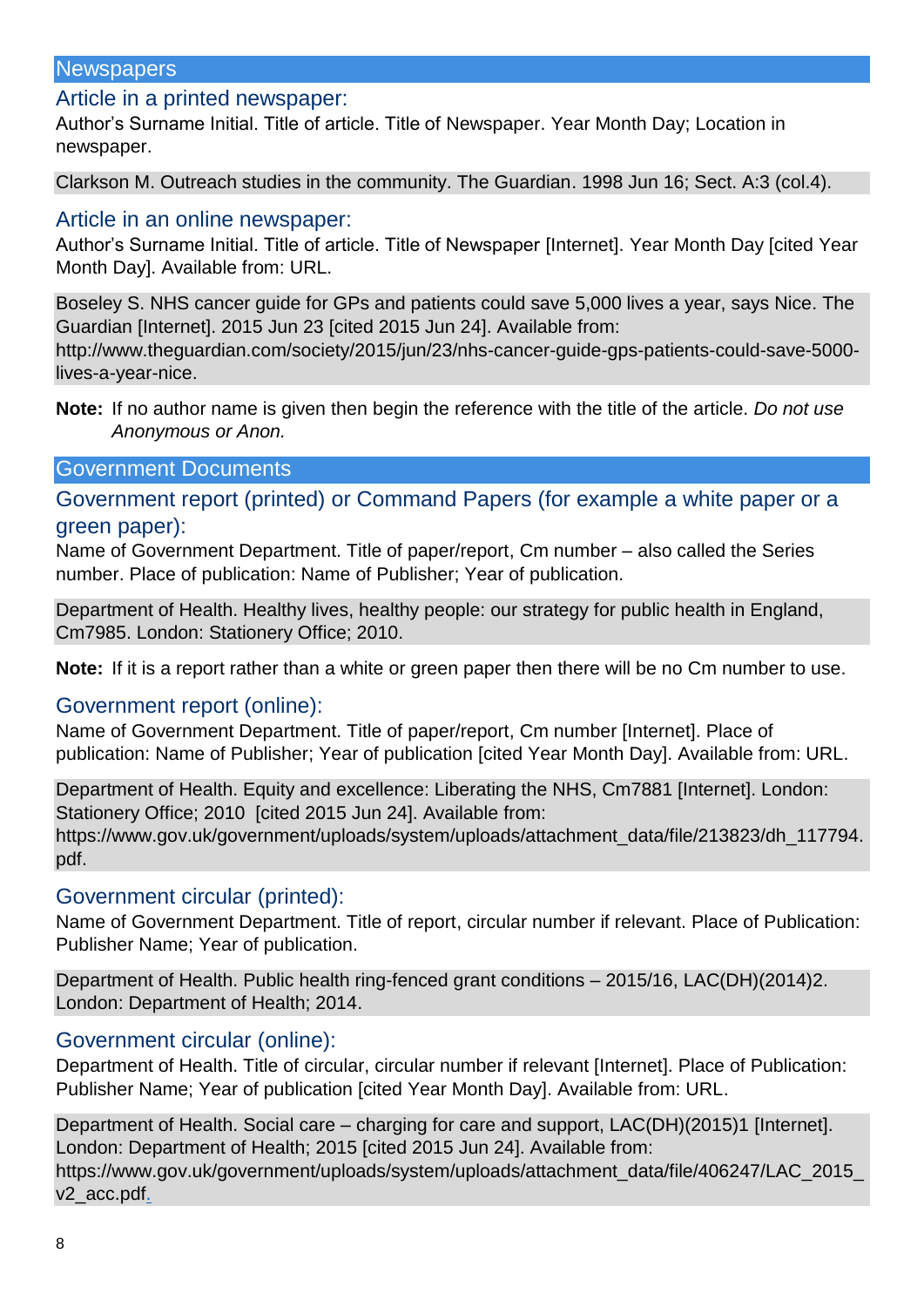#### **Newspapers**

#### Article in a printed newspaper:

Author's Surname Initial. Title of article. Title of Newspaper. Year Month Day; Location in newspaper.

Clarkson M. Outreach studies in the community. The Guardian. 1998 Jun 16; Sect. A:3 (col.4).

## Article in an online newspaper:

Author's Surname Initial. Title of article. Title of Newspaper [Internet]. Year Month Day [cited Year Month Day]. Available from: URL.

Boseley S. NHS cancer guide for GPs and patients could save 5,000 lives a year, says Nice. The Guardian [Internet]. 2015 Jun 23 [cited 2015 Jun 24]. Available from: http://www.theguardian.com/society/2015/jun/23/nhs-cancer-guide-gps-patients-could-save-5000 lives-a-year-nice.

**Note:** If no author name is given then begin the reference with the title of the article. *Do not use Anonymous or Anon.*

#### Government Documents

Government report (printed) or Command Papers (for example a white paper or a green paper):

Name of Government Department. Title of paper/report, Cm number – also called the Series number. Place of publication: Name of Publisher; Year of publication.

Department of Health. Healthy lives, healthy people: our strategy for public health in England, Cm7985. London: Stationery Office; 2010.

**Note:** If it is a report rather than a white or green paper then there will be no Cm number to use.

#### Government report (online):

Name of Government Department. Title of paper/report, Cm number [Internet]. Place of publication: Name of Publisher; Year of publication [cited Year Month Day]. Available from: URL.

Department of Health. Equity and excellence: Liberating the NHS, Cm7881 [Internet]. London: Stationery Office; 2010 [cited 2015 Jun 24]. Available from: https://www.gov.uk/government/uploads/system/uploads/attachment\_data/file/213823/dh\_117794. pdf.

#### Government circular (printed):

Name of Government Department. Title of report, circular number if relevant. Place of Publication: Publisher Name; Year of publication.

Department of Health. Public health ring-fenced grant conditions – 2015/16, LAC(DH)(2014)2. London: Department of Health; 2014.

#### Government circular (online):

Department of Health. Title of circular, circular number if relevant [Internet]. Place of Publication: Publisher Name; Year of publication [cited Year Month Day]. Available from: URL.

Department of Health. Social care – charging for care and support, LAC(DH)(2015)1 [Internet]. London: Department of Health; 2015 [cited 2015 Jun 24]. Available from: https://www.gov.uk/government/uploads/system/uploads/attachment\_data/file/406247/LAC\_2015\_ v2\_acc.pdf.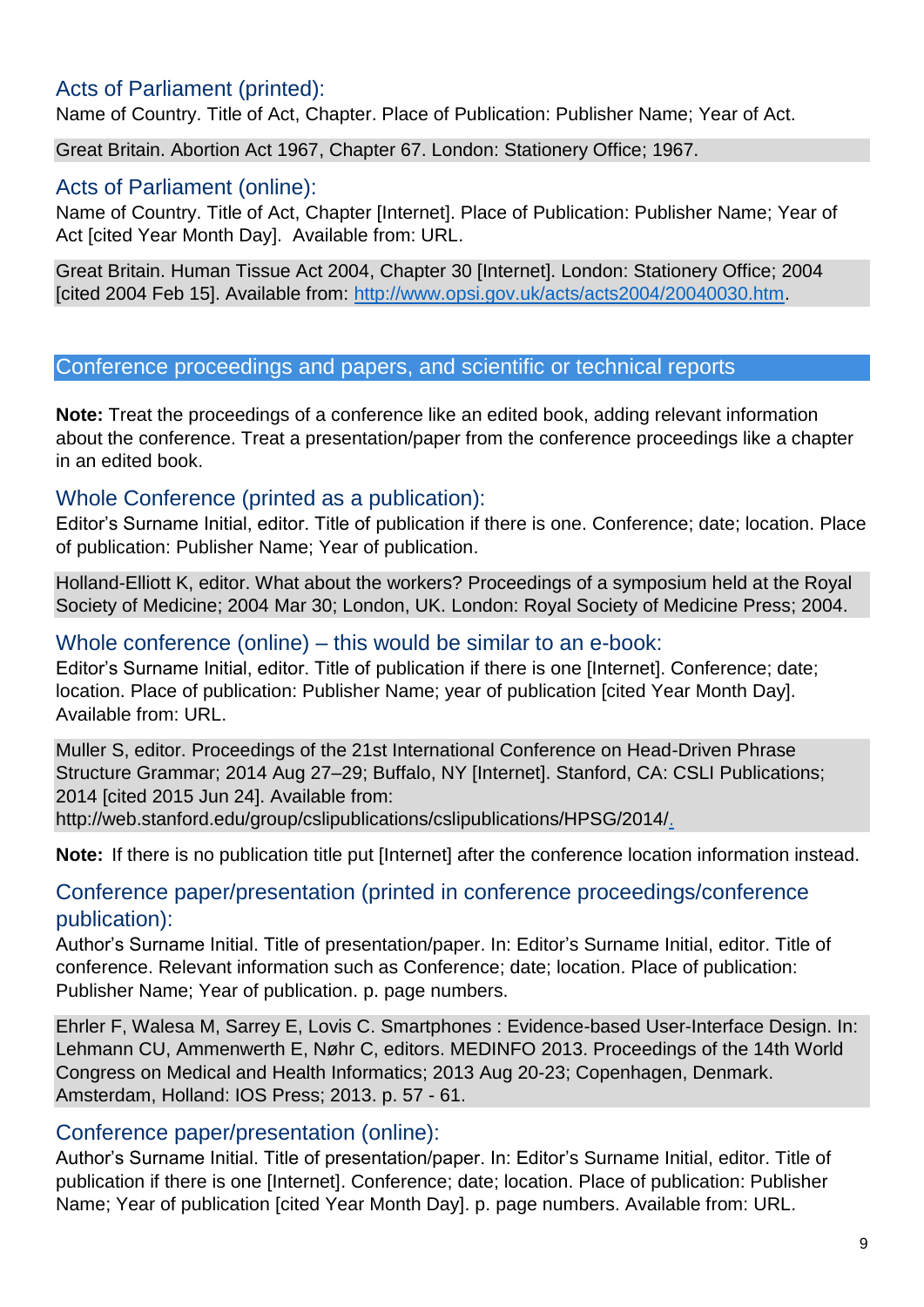## Acts of Parliament (printed):

Name of Country. Title of Act, Chapter. Place of Publication: Publisher Name; Year of Act.

Great Britain. Abortion Act 1967, Chapter 67. London: Stationery Office; 1967.

## Acts of Parliament (online):

Name of Country. Title of Act, Chapter [Internet]. Place of Publication: Publisher Name; Year of Act [cited Year Month Day]. Available from: URL.

Great Britain. Human Tissue Act 2004, Chapter 30 [Internet]. London: Stationery Office; 2004 [cited 2004 Feb 15]. Available from: [http://www.opsi.gov.uk/acts/acts2004/20040030.htm.](http://www.opsi.gov.uk/acts/acts2004/20040030.htm)

## Conference proceedings and papers, and scientific or technical reports

**Note:** Treat the proceedings of a conference like an edited book, adding relevant information about the conference. Treat a presentation/paper from the conference proceedings like a chapter in an edited book.

## Whole Conference (printed as a publication):

Editor's Surname Initial, editor. Title of publication if there is one. Conference; date; location. Place of publication: Publisher Name; Year of publication.

Holland-Elliott K, editor. What about the workers? Proceedings of a symposium held at the Royal Society of Medicine; 2004 Mar 30; London, UK. London: Royal Society of Medicine Press; 2004.

### Whole conference (online) – this would be similar to an e-book:

Editor's Surname Initial, editor. Title of publication if there is one [Internet]. Conference; date; location. Place of publication: Publisher Name; year of publication [cited Year Month Day]. Available from: URL.

Muller S, editor. Proceedings of the 21st International Conference on Head-Driven Phrase Structure Grammar; 2014 Aug 27–29; Buffalo, NY [Internet]. Stanford, CA: CSLI Publications; 2014 [cited 2015 Jun 24]. Available from:

http://web.stanford.edu/group/cslipublications/cslipublications/HPSG/2014/.

**Note:** If there is no publication title put [Internet] after the conference location information instead.

## Conference paper/presentation (printed in conference proceedings/conference publication):

Author's Surname Initial. Title of presentation/paper. In: Editor's Surname Initial, editor. Title of conference. Relevant information such as Conference; date; location. Place of publication: Publisher Name; Year of publication. p. page numbers.

Ehrler F, Walesa M, Sarrey E, Lovis C. Smartphones : Evidence-based User-Interface Design. In: Lehmann CU, Ammenwerth E, Nøhr C, editors. MEDINFO 2013. Proceedings of the 14th World Congress on Medical and Health Informatics; 2013 Aug 20-23; Copenhagen, Denmark. Amsterdam, Holland: IOS Press; 2013. p. 57 - 61.

## Conference paper/presentation (online):

Author's Surname Initial. Title of presentation/paper. In: Editor's Surname Initial, editor. Title of publication if there is one [Internet]. Conference; date; location. Place of publication: Publisher Name; Year of publication [cited Year Month Day]. p. page numbers. Available from: URL.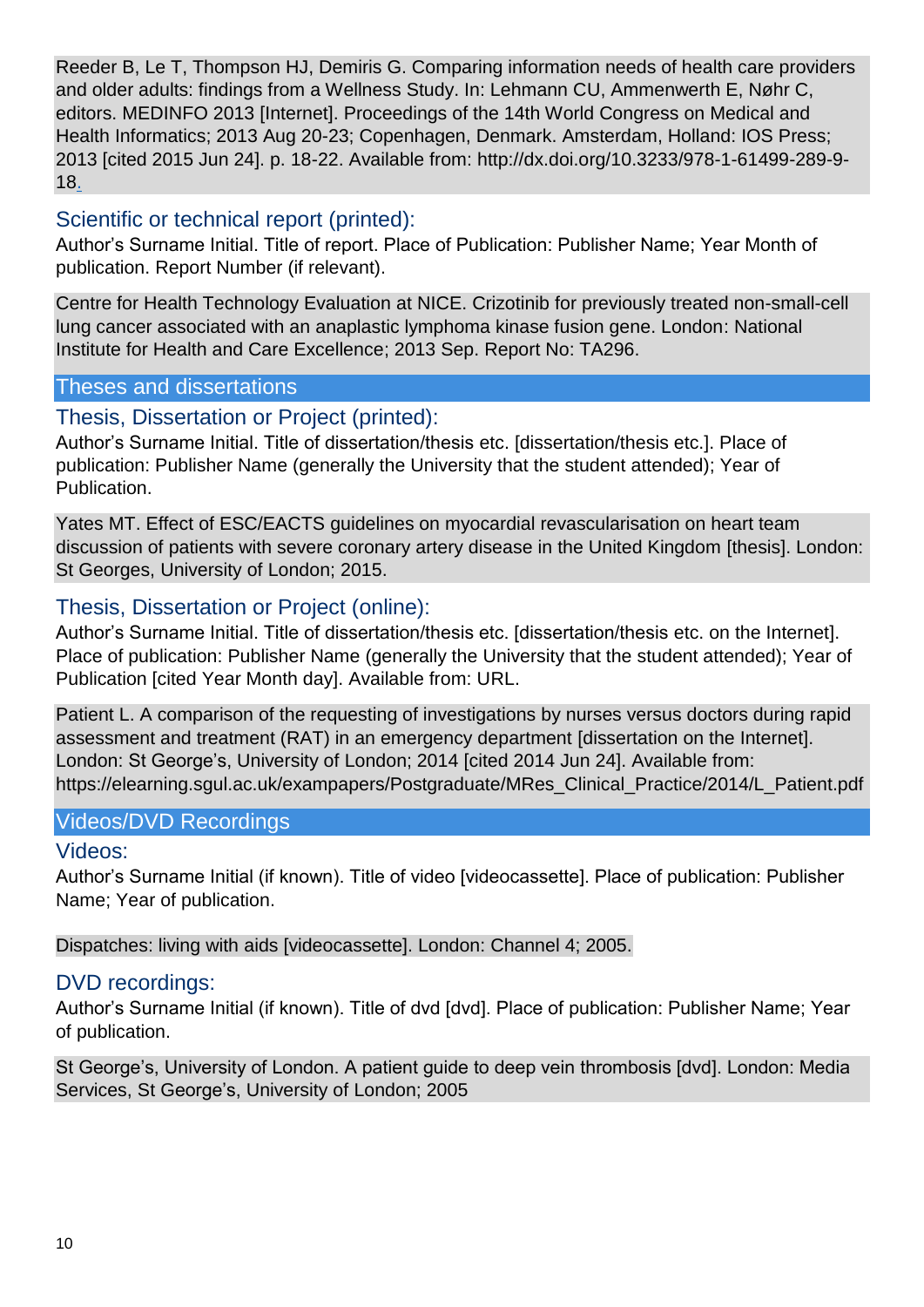Reeder B, Le T, Thompson HJ, Demiris G. Comparing information needs of health care providers and older adults: findings from a Wellness Study. In: Lehmann CU, Ammenwerth E, Nøhr C, editors. MEDINFO 2013 [Internet]. Proceedings of the 14th World Congress on Medical and Health Informatics; 2013 Aug 20-23; Copenhagen, Denmark. Amsterdam, Holland: IOS Press; 2013 [cited 2015 Jun 24]. p. 18-22. Available from: http://dx.doi.org/10.3233/978-1-61499-289-9- 18.

## Scientific or technical report (printed):

Author's Surname Initial. Title of report. Place of Publication: Publisher Name; Year Month of publication. Report Number (if relevant).

Centre for Health Technology Evaluation at NICE. Crizotinib for previously treated non-small-cell lung cancer associated with an anaplastic lymphoma kinase fusion gene. London: National Institute for Health and Care Excellence; 2013 Sep. Report No: TA296.

#### Theses and dissertations

## Thesis, Dissertation or Project (printed):

Author's Surname Initial. Title of dissertation/thesis etc. [dissertation/thesis etc.]. Place of publication: Publisher Name (generally the University that the student attended); Year of Publication.

Yates MT. Effect of ESC/EACTS guidelines on myocardial revascularisation on heart team discussion of patients with severe coronary artery disease in the United Kingdom [thesis]. London: St Georges, University of London; 2015.

## Thesis, Dissertation or Project (online):

Author's Surname Initial. Title of dissertation/thesis etc. [dissertation/thesis etc. on the Internet]. Place of publication: Publisher Name (generally the University that the student attended); Year of Publication [cited Year Month day]. Available from: URL.

Patient L. A comparison of the requesting of investigations by nurses versus doctors during rapid assessment and treatment (RAT) in an emergency department [dissertation on the Internet]. London: St George's, University of London; 2014 [cited 2014 Jun 24]. Available from: https://elearning.sgul.ac.uk/exampapers/Postgraduate/MRes\_Clinical\_Practice/2014/L\_Patient.pdf

## Videos/DVD Recordings

## Videos:

Author's Surname Initial (if known). Title of video [videocassette]. Place of publication: Publisher Name; Year of publication.

Dispatches: living with aids [videocassette]. London: Channel 4; 2005.

## DVD recordings:

Author's Surname Initial (if known). Title of dvd [dvd]. Place of publication: Publisher Name; Year of publication.

St George's, University of London. A patient guide to deep vein thrombosis [dvd]. London: Media Services, St George's, University of London; 2005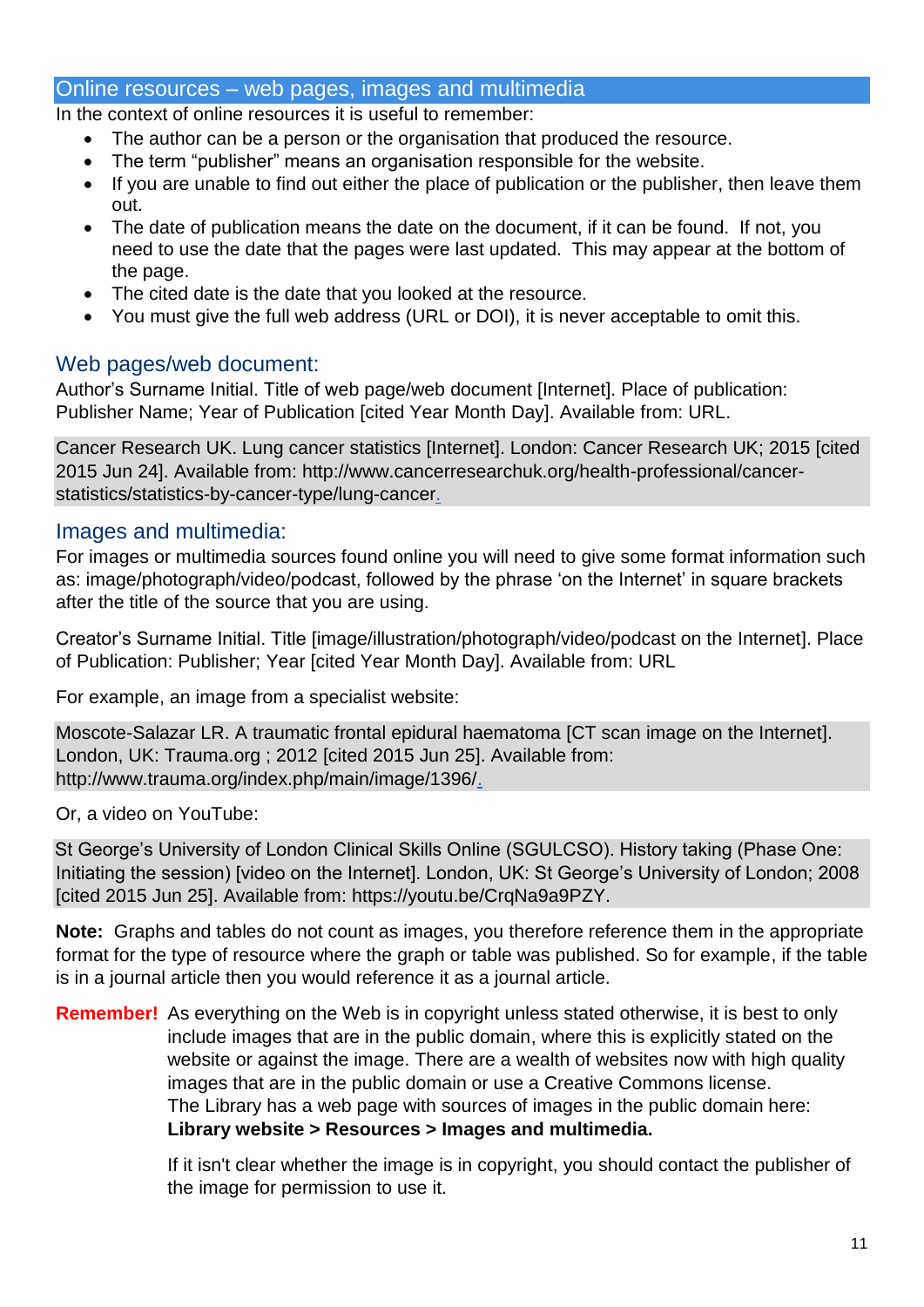#### Online resources – web pages, images and multimedia

In the context of online resources it is useful to remember:

- The author can be a person or the organisation that produced the resource.
- The term "publisher" means an organisation responsible for the website.
- If you are unable to find out either the place of publication or the publisher, then leave them out.
- The date of publication means the date on the document, if it can be found. If not, you need to use the date that the pages were last updated. This may appear at the bottom of the page.
- The cited date is the date that you looked at the resource.
- You must give the full web address (URL or DOI), it is never acceptable to omit this.

#### Web pages/web document:

Author's Surname Initial. Title of web page/web document [Internet]. Place of publication: Publisher Name; Year of Publication [cited Year Month Day]. Available from: URL.

Cancer Research UK. Lung cancer statistics [Internet]. London: Cancer Research UK; 2015 [cited 2015 Jun 24]. Available from: http://www.cancerresearchuk.org/health-professional/cancerstatistics/statistics-by-cancer-type/lung-cancer.

#### Images and multimedia:

For images or multimedia sources found online you will need to give some format information such as: image/photograph/video/podcast, followed by the phrase 'on the Internet' in square brackets after the title of the source that you are using.

Creator's Surname Initial. Title [image/illustration/photograph/video/podcast on the Internet]. Place of Publication: Publisher; Year [cited Year Month Day]. Available from: URL

For example, an image from a specialist website:

Moscote-Salazar LR. A traumatic frontal epidural haematoma [CT scan image on the Internet]. London, UK: Trauma.org ; 2012 [cited 2015 Jun 25]. Available from: http://www.trauma.org/index.php/main/image/1396/.

Or, a video on YouTube:

St George's University of London Clinical Skills Online (SGULCSO). History taking (Phase One: Initiating the session) [video on the Internet]. London, UK: St George's University of London; 2008 [cited 2015 Jun 25]. Available from: https://youtu.be/CrqNa9a9PZY.

**Note:** Graphs and tables do not count as images, you therefore reference them in the appropriate format for the type of resource where the graph or table was published. So for example, if the table is in a journal article then you would reference it as a journal article.

**Remember!** As everything on the Web is in copyright unless stated otherwise, it is best to only include images that are in the public domain, where this is explicitly stated on the website or against the image. There are a wealth of websites now with high quality images that are in the public domain or use a Creative Commons license. The Library has a web page with sources of images in the public domain here: **Library website > Resources > Images and multimedia.**

> If it isn't clear whether the image is in copyright, you should contact the publisher of the image for permission to use it.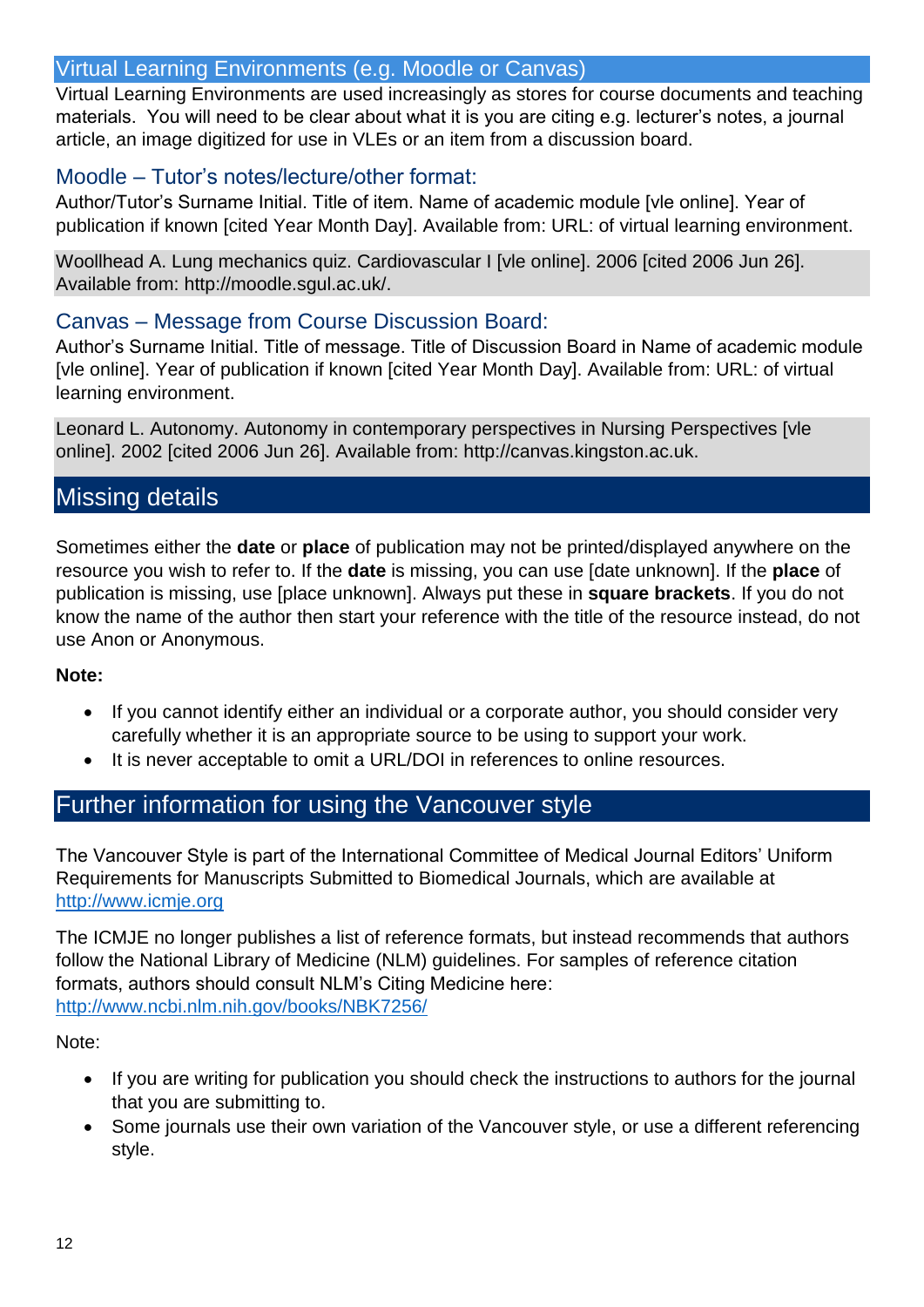## Virtual Learning Environments (e.g. Moodle or Canvas)

Virtual Learning Environments are used increasingly as stores for course documents and teaching materials. You will need to be clear about what it is you are citing e.g. lecturer's notes, a journal article, an image digitized for use in VLEs or an item from a discussion board.

## Moodle – Tutor's notes/lecture/other format:

Author/Tutor's Surname Initial. Title of item. Name of academic module [vle online]. Year of publication if known [cited Year Month Day]. Available from: URL: of virtual learning environment.

Woollhead A. Lung mechanics quiz. Cardiovascular I [vle online]. 2006 [cited 2006 Jun 26]. Available from: http://moodle.sgul.ac.uk/.

## Canvas – Message from Course Discussion Board:

Author's Surname Initial. Title of message. Title of Discussion Board in Name of academic module [vle online]. Year of publication if known [cited Year Month Day]. Available from: URL: of virtual learning environment.

Leonard L. Autonomy. Autonomy in contemporary perspectives in Nursing Perspectives [vle online]. 2002 [cited 2006 Jun 26]. Available from: http://canvas.kingston.ac.uk.

# Missing details

Sometimes either the **date** or **place** of publication may not be printed/displayed anywhere on the resource you wish to refer to. If the **date** is missing, you can use [date unknown]. If the **place** of publication is missing, use [place unknown]. Always put these in **square brackets**. If you do not know the name of the author then start your reference with the title of the resource instead, do not use Anon or Anonymous.

## **Note:**

- If you cannot identify either an individual or a corporate author, you should consider very carefully whether it is an appropriate source to be using to support your work.
- It is never acceptable to omit a URL/DOI in references to online resources.

## Further information for using the Vancouver style

The Vancouver Style is part of the International Committee of Medical Journal Editors' Uniform Requirements for Manuscripts Submitted to Biomedical Journals, which are available at [http://www.icmje.org](http://www.icmje.org/)

The ICMJE no longer publishes a list of reference formats, but instead recommends that authors follow the National Library of Medicine (NLM) guidelines. For samples of reference citation formats, authors should consult NLM's Citing Medicine here: <http://www.ncbi.nlm.nih.gov/books/NBK7256/>

Note:

- If you are writing for publication you should check the instructions to authors for the journal that you are submitting to.
- Some journals use their own variation of the Vancouver style, or use a different referencing style.